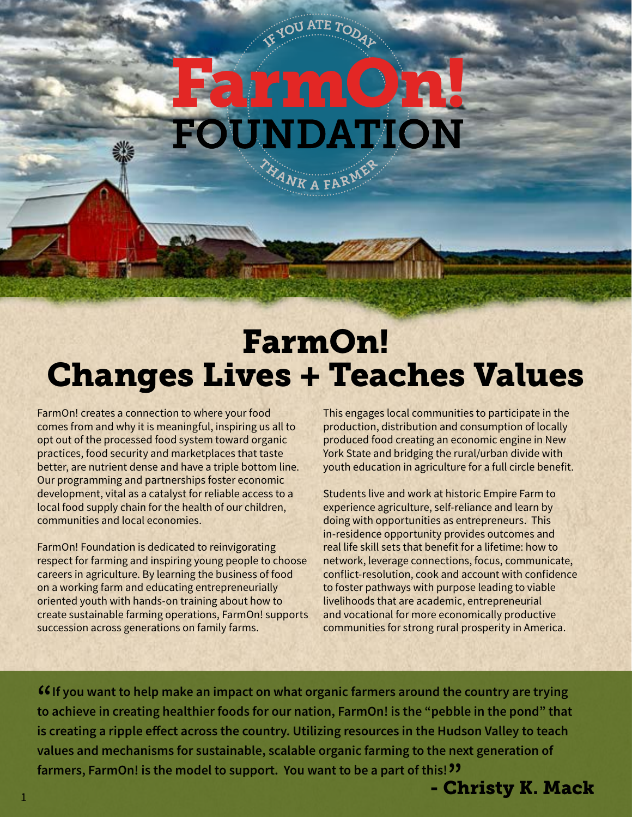# armO **INDATION**

 $N_K$   $\overline{A}$   $\overline{F}$   $\overline{F}$ 

J ATE TODAL

## FarmOn! Changes Lives + Teaches Values

FarmOn! creates a connection to where your food comes from and why it is meaningful, inspiring us all to opt out of the processed food system toward organic practices, food security and marketplaces that taste better, are nutrient dense and have a triple bottom line. Our programming and partnerships foster economic development, vital as a catalyst for reliable access to a local food supply chain for the health of our children, communities and local economies.

FarmOn! Foundation is dedicated to reinvigorating respect for farming and inspiring young people to choose careers in agriculture. By learning the business of food on a working farm and educating entrepreneurially oriented youth with hands-on training about how to create sustainable farming operations, FarmOn! supports succession across generations on family farms.

This engages local communities to participate in the production, distribution and consumption of locally produced food creating an economic engine in New York State and bridging the rural/urban divide with youth education in agriculture for a full circle benefit.

Students live and work at historic Empire Farm to experience agriculture, self-reliance and learn by doing with opportunities as entrepreneurs. This in-residence opportunity provides outcomes and real life skill sets that benefit for a lifetime: how to network, leverage connections, focus, communicate, conflict-resolution, cook and account with confidence to foster pathways with purpose leading to viable livelihoods that are academic, entrepreneurial and vocational for more economically productive communities for strong rural prosperity in America.

**"**If you want to help make an impact on what organic farmers around the country are trying **to achieve in creating healthier foods for our nation, FarmOn! is the "pebble in the pond" that is creating a ripple effect across the country. Utilizing resources in the Hudson Valley to teach values and mechanisms for sustainable, scalable organic farming to the next generation of farmers, FarmOn! is the model to support. You want to be a part of this!"**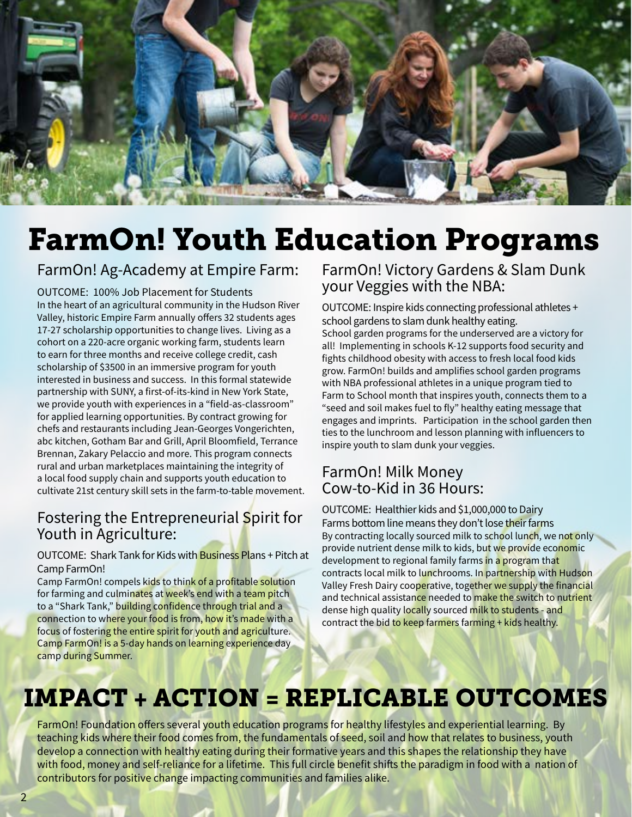

# FarmOn! Youth Education Programs

### FarmOn! Ag-Academy at Empire Farm:

OUTCOME: 100% Job Placement for Students In the heart of an agricultural community in the Hudson River Valley, historic Empire Farm annually offers 32 students ages 17-27 scholarship opportunities to change lives. Living as a cohort on a 220-acre organic working farm, students learn to earn for three months and receive college credit, cash scholarship of \$3500 in an immersive program for youth interested in business and success. In this formal statewide partnership with SUNY, a first-of-its-kind in New York State, we provide youth with experiences in a "field-as-classroom" for applied learning opportunities. By contract growing for chefs and restaurants including Jean-Georges Vongerichten, abc kitchen, Gotham Bar and Grill, April Bloomfield, Terrance Brennan, Zakary Pelaccio and more. This program connects rural and urban marketplaces maintaining the integrity of a local food supply chain and supports youth education to cultivate 21st century skill sets in the farm-to-table movement.

### Fostering the Entrepreneurial Spirit for Youth in Agriculture:

OUTCOME: Shark Tank for Kids with Business Plans + Pitch at Camp FarmOn!

Camp FarmOn! compels kids to think of a profitable solution for farming and culminates at week's end with a team pitch to a "Shark Tank," building confidence through trial and a connection to where your food is from, how it's made with a focus of fostering the entire spirit for youth and agriculture. Camp FarmOn! is a 5-day hands on learning experience day camp during Summer.

### FarmOn! Victory Gardens & Slam Dunk your Veggies with the NBA:

OUTCOME: Inspire kids connecting professional athletes + school gardens to slam dunk healthy eating. School garden programs for the underserved are a victory for all! Implementing in schools K-12 supports food security and fights childhood obesity with access to fresh local food kids grow. FarmOn! builds and amplifies school garden programs with NBA professional athletes in a unique program tied to Farm to School month that inspires youth, connects them to a "seed and soil makes fuel to fly" healthy eating message that engages and imprints. Participation in the school garden then ties to the lunchroom and lesson planning with influencers to inspire youth to slam dunk your veggies.

### FarmOn! Milk Money Cow-to-Kid in 36 Hours:

OUTCOME: Healthier kids and \$1,000,000 to Dairy Farms bottom line means they don't lose their farms By contracting locally sourced milk to school lunch, we not only provide nutrient dense milk to kids, but we provide economic development to regional family farms in a program that contracts local milk to lunchrooms. In partnership with Hudson Valley Fresh Dairy cooperative, together we supply the financial and technical assistance needed to make the switch to nutrient dense high quality locally sourced milk to students - and contract the bid to keep farmers farming + kids healthy.

### IMPACT + ACTION = REPLICABLE OUTCOMES

FarmOn! Foundation offers several youth education programs for healthy lifestyles and experiential learning. By teaching kids where their food comes from, the fundamentals of seed, soil and how that relates to business, youth develop a connection with healthy eating during their formative years and this shapes the relationship they have with food, money and self-reliance for a lifetime. This full circle benefit shifts the paradigm in food with a nation of contributors for positive change impacting communities and families alike.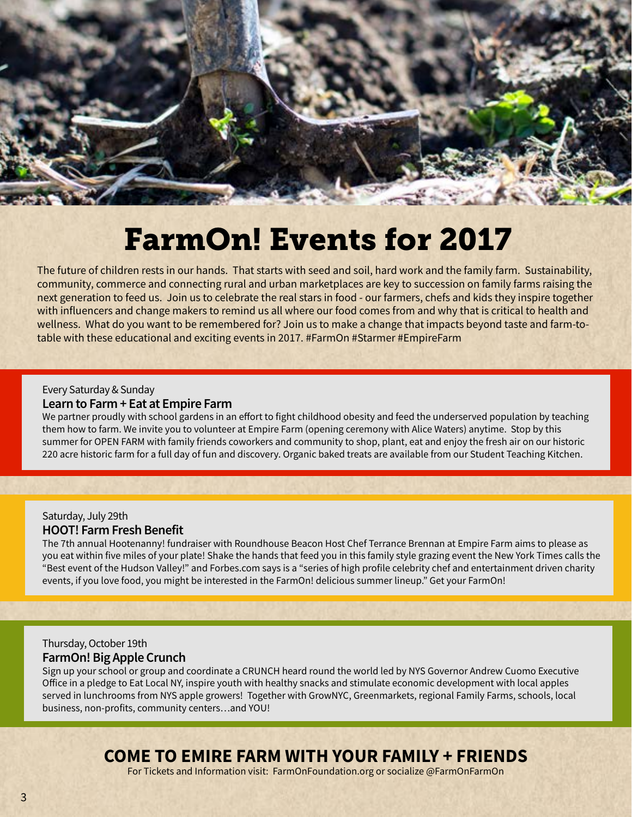

### FarmOn! Events for 2017

The future of children rests in our hands. That starts with seed and soil, hard work and the family farm. Sustainability, community, commerce and connecting rural and urban marketplaces are key to succession on family farms raising the next generation to feed us. Join us to celebrate the real stars in food - our farmers, chefs and kids they inspire together with influencers and change makers to remind us all where our food comes from and why that is critical to health and wellness. What do you want to be remembered for? Join us to make a change that impacts beyond taste and farm-totable with these educational and exciting events in 2017. #FarmOn #Starmer #EmpireFarm

#### Every Saturday & Sunday

#### **Learn to Farm + Eat at Empire Farm**

We partner proudly with school gardens in an effort to fight childhood obesity and feed the underserved population by teaching them how to farm. We invite you to volunteer at Empire Farm (opening ceremony with Alice Waters) anytime. Stop by this summer for OPEN FARM with family friends coworkers and community to shop, plant, eat and enjoy the fresh air on our historic 220 acre historic farm for a full day of fun and discovery. Organic baked treats are available from our Student Teaching Kitchen.

#### Saturday, July 29th **HOOT! Farm Fresh Benefit**

The 7th annual Hootenanny! fundraiser with Roundhouse Beacon Host Chef Terrance Brennan at Empire Farm aims to please as you eat within five miles of your plate! Shake the hands that feed you in this family style grazing event the New York Times calls the "Best event of the Hudson Valley!" and Forbes.com says is a "series of high profile celebrity chef and entertainment driven charity events, if you love food, you might be interested in the FarmOn! delicious summer lineup." Get your FarmOn!

#### Thursday, October 19th **FarmOn! Big Apple Crunch**

Sign up your school or group and coordinate a CRUNCH heard round the world led by NYS Governor Andrew Cuomo Executive Office in a pledge to Eat Local NY, inspire youth with healthy snacks and stimulate economic development with local apples served in lunchrooms from NYS apple growers! Together with GrowNYC, Greenmarkets, regional Family Farms, schools, local business, non-profits, community centers…and YOU!

### **COME TO EMIRE FARM WITH YOUR FAMILY + FRIENDS**

For Tickets and Information visit: FarmOnFoundation.org or socialize @FarmOnFarmOn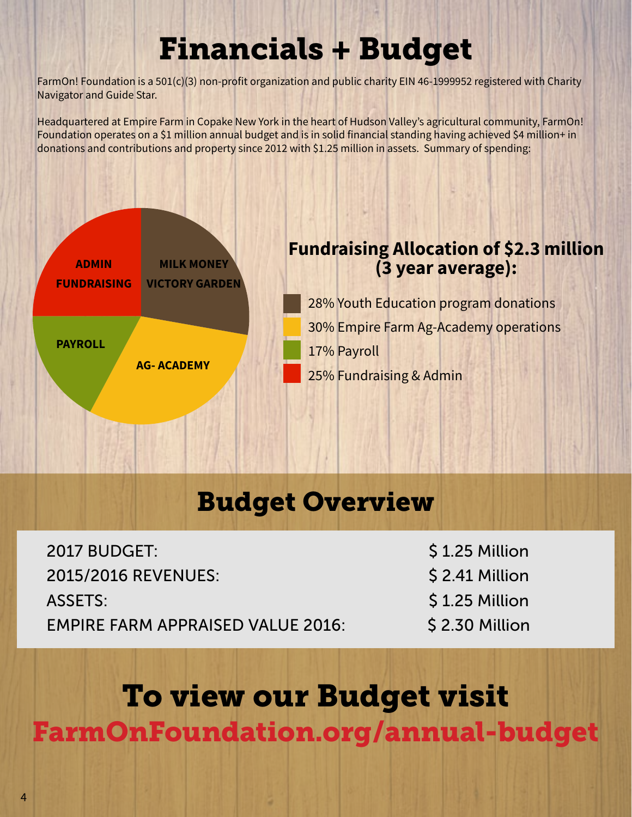# Financials + Budget

FarmOn! Foundation is a 501(c)(3) non-profit organization and public charity EIN 46-1999952 registered with Charity Navigator and Guide Star.

Headquartered at Empire Farm in Copake New York in the heart of Hudson Valley's agricultural community, FarmOn! Foundation operates on a \$1 million annual budget and is in solid financial standing having achieved \$4 million+ in donations and contributions and property since 2012 with \$1.25 million in assets. Summary of spending:



### Budget Overview

2017 BUDGET: 2015/2016 REVENUES: ASSETS: EMPIRE FARM APPRAISED VALUE 2016:

\$ 1.25 Million \$ 2.41 Million \$ 1.25 Million \$ 2.30 Million

# To view our Budget visit [FarmOnFoundation.org/annual-budget](http://FarmOnFoundation.org/annual-budget )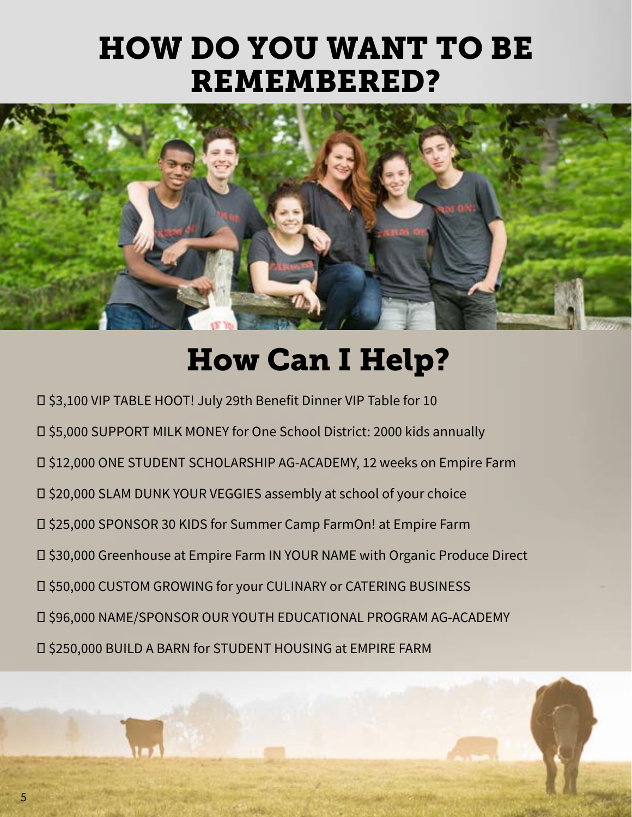## HOW DO YOU WANT TO BE REMEMBERED?



# How Can I Help?

࿕ \$3,100 VIP TABLE HOOT! July 29th Benefit Dinner VIP Table for 10 ࿕ \$5,000 SUPPORT MILK MONEY for One School District: 2000 kids annually ࿕ \$12,000 ONE STUDENT SCHOLARSHIP AG-ACADEMY, 12 weeks on Empire Farm ࿕ \$20,000 SLAM DUNK YOUR VEGGIES assembly at school of your choice ࿕ \$25,000 SPONSOR 30 KIDS for Summer Camp FarmOn! at Empire Farm ࿕ \$30,000 Greenhouse at Empire Farm IN YOUR NAME with Organic Produce Direct ࿕ \$50,000 CUSTOM GROWING for your CULINARY or CATERING BUSINESS ࿕ \$96,000 NAME/SPONSOR OUR YOUTH EDUCATIONAL PROGRAM AG-ACADEMY ࿕ \$250,000 BUILD A BARN for STUDENT HOUSING at EMPIRE FARM